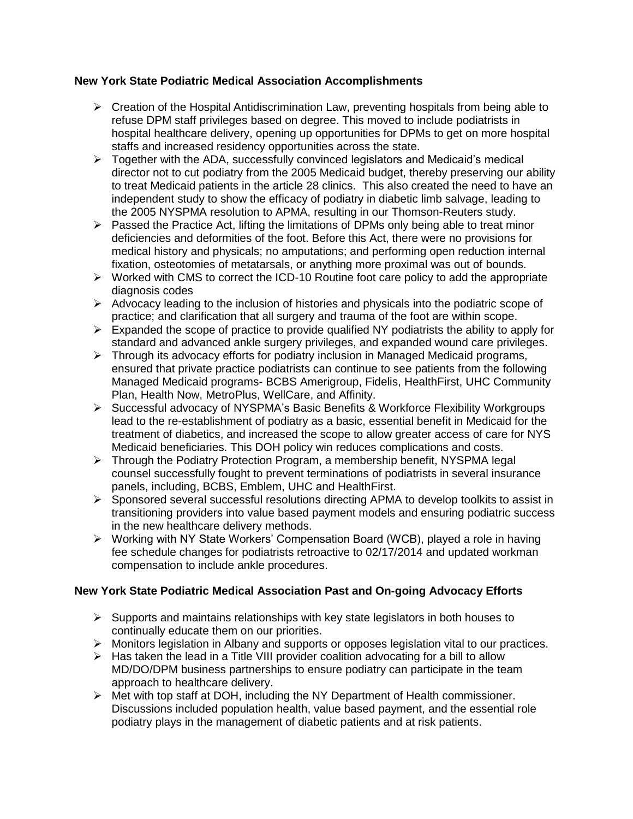## **New York State Podiatric Medical Association Accomplishments**

- $\triangleright$  Creation of the Hospital Antidiscrimination Law, preventing hospitals from being able to refuse DPM staff privileges based on degree. This moved to include podiatrists in hospital healthcare delivery, opening up opportunities for DPMs to get on more hospital staffs and increased residency opportunities across the state.
- $\triangleright$  Together with the ADA, successfully convinced legislators and Medicaid's medical director not to cut podiatry from the 2005 Medicaid budget, thereby preserving our ability to treat Medicaid patients in the article 28 clinics. This also created the need to have an independent study to show the efficacy of podiatry in diabetic limb salvage, leading to the 2005 NYSPMA resolution to APMA, resulting in our Thomson-Reuters study.
- $\triangleright$  Passed the Practice Act, lifting the limitations of DPMs only being able to treat minor deficiencies and deformities of the foot. Before this Act, there were no provisions for medical history and physicals; no amputations; and performing open reduction internal fixation, osteotomies of metatarsals, or anything more proximal was out of bounds.
- $\triangleright$  Worked with CMS to correct the ICD-10 Routine foot care policy to add the appropriate diagnosis codes
- $\triangleright$  Advocacy leading to the inclusion of histories and physicals into the podiatric scope of practice; and clarification that all surgery and trauma of the foot are within scope.
- $\triangleright$  Expanded the scope of practice to provide qualified NY podiatrists the ability to apply for standard and advanced ankle surgery privileges, and expanded wound care privileges.
- > Through its advocacy efforts for podiatry inclusion in Managed Medicaid programs, ensured that private practice podiatrists can continue to see patients from the following Managed Medicaid programs- BCBS Amerigroup, Fidelis, HealthFirst, UHC Community Plan, Health Now, MetroPlus, WellCare, and Affinity.
- Successful advocacy of NYSPMA's Basic Benefits & Workforce Flexibility Workgroups lead to the re-establishment of podiatry as a basic, essential benefit in Medicaid for the treatment of diabetics, and increased the scope to allow greater access of care for NYS Medicaid beneficiaries. This DOH policy win reduces complications and costs.
- Through the Podiatry Protection Program, a membership benefit, NYSPMA legal counsel successfully fought to prevent terminations of podiatrists in several insurance panels, including, BCBS, Emblem, UHC and HealthFirst.
- Sponsored several successful resolutions directing APMA to develop toolkits to assist in transitioning providers into value based payment models and ensuring podiatric success in the new healthcare delivery methods.
- $\triangleright$  Working with NY State Workers' Compensation Board (WCB), played a role in having fee schedule changes for podiatrists retroactive to 02/17/2014 and updated workman compensation to include ankle procedures.

## **New York State Podiatric Medical Association Past and On-going Advocacy Efforts**

- $\triangleright$  Supports and maintains relationships with key state legislators in both houses to continually educate them on our priorities.
- Monitors legislation in Albany and supports or opposes legislation vital to our practices.
- $\triangleright$  Has taken the lead in a Title VIII provider coalition advocating for a bill to allow MD/DO/DPM business partnerships to ensure podiatry can participate in the team approach to healthcare delivery.
- $\triangleright$  Met with top staff at DOH, including the NY Department of Health commissioner. Discussions included population health, value based payment, and the essential role podiatry plays in the management of diabetic patients and at risk patients.